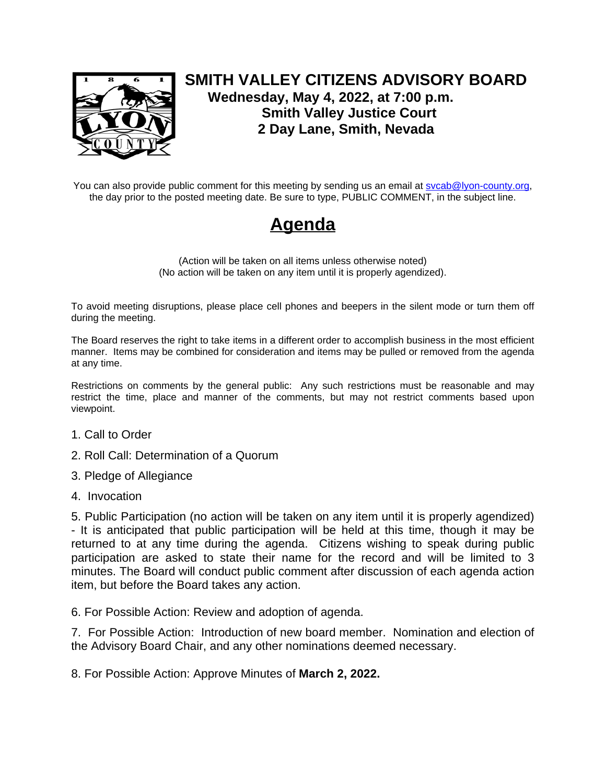

## **SMITH VALLEY CITIZENS ADVISORY BOARD Wednesday, May 4, 2022, at 7:00 p.m. Smith Valley Justice Court 2 Day Lane, Smith, Nevada**

You can also provide public comment for this meeting by sending us an email at sycab@lyon-county.org, the day prior to the posted meeting date. Be sure to type, PUBLIC COMMENT, in the subject line.

## **Agenda**

(Action will be taken on all items unless otherwise noted) (No action will be taken on any item until it is properly agendized).

To avoid meeting disruptions, please place cell phones and beepers in the silent mode or turn them off during the meeting.

The Board reserves the right to take items in a different order to accomplish business in the most efficient manner. Items may be combined for consideration and items may be pulled or removed from the agenda at any time.

Restrictions on comments by the general public: Any such restrictions must be reasonable and may restrict the time, place and manner of the comments, but may not restrict comments based upon viewpoint.

- 1. Call to Order
- 2. Roll Call: Determination of a Quorum
- 3. Pledge of Allegiance
- 4. Invocation

5. Public Participation (no action will be taken on any item until it is properly agendized) - It is anticipated that public participation will be held at this time, though it may be returned to at any time during the agenda. Citizens wishing to speak during public participation are asked to state their name for the record and will be limited to 3 minutes. The Board will conduct public comment after discussion of each agenda action item, but before the Board takes any action.

6. For Possible Action: Review and adoption of agenda.

7. For Possible Action: Introduction of new board member. Nomination and election of the Advisory Board Chair, and any other nominations deemed necessary.

8. For Possible Action: Approve Minutes of **March 2, 2022.**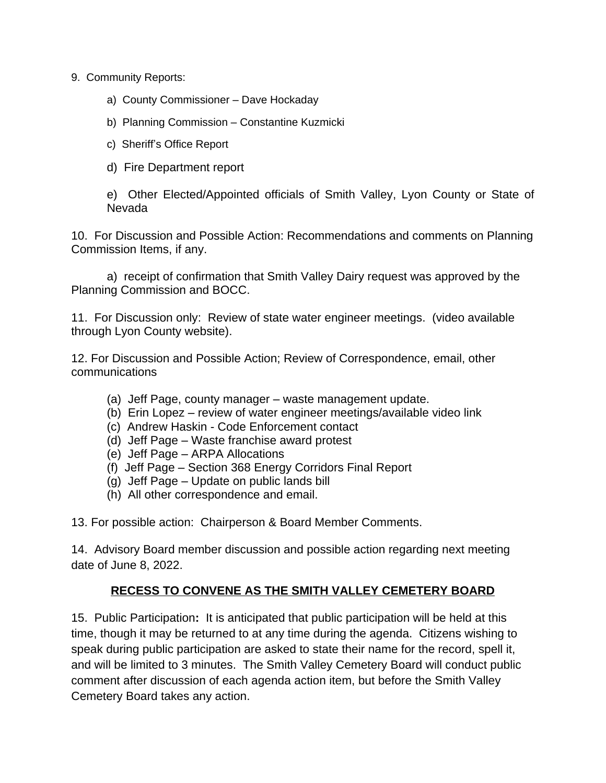9. Community Reports:

- a) County Commissioner Dave Hockaday
- b) Planning Commission Constantine Kuzmicki
- c) Sheriff's Office Report
- d) Fire Department report

e) Other Elected/Appointed officials of Smith Valley, Lyon County or State of Nevada

10. For Discussion and Possible Action: Recommendations and comments on Planning Commission Items, if any.

a) receipt of confirmation that Smith Valley Dairy request was approved by the Planning Commission and BOCC.

11. For Discussion only: Review of state water engineer meetings. (video available through Lyon County website).

12. For Discussion and Possible Action; Review of Correspondence, email, other communications

- (a) Jeff Page, county manager waste management update.
- (b) Erin Lopez review of water engineer meetings/available video link
- (c) Andrew Haskin Code Enforcement contact
- (d) Jeff Page Waste franchise award protest
- (e) Jeff Page ARPA Allocations
- (f) Jeff Page Section 368 Energy Corridors Final Report
- (g) Jeff Page Update on public lands bill
- (h) All other correspondence and email.

13. For possible action: Chairperson & Board Member Comments.

14. Advisory Board member discussion and possible action regarding next meeting date of June 8, 2022.

## **RECESS TO CONVENE AS THE SMITH VALLEY CEMETERY BOARD**

15. Public Participation**:** It is anticipated that public participation will be held at this time, though it may be returned to at any time during the agenda. Citizens wishing to speak during public participation are asked to state their name for the record, spell it, and will be limited to 3 minutes. The Smith Valley Cemetery Board will conduct public comment after discussion of each agenda action item, but before the Smith Valley Cemetery Board takes any action.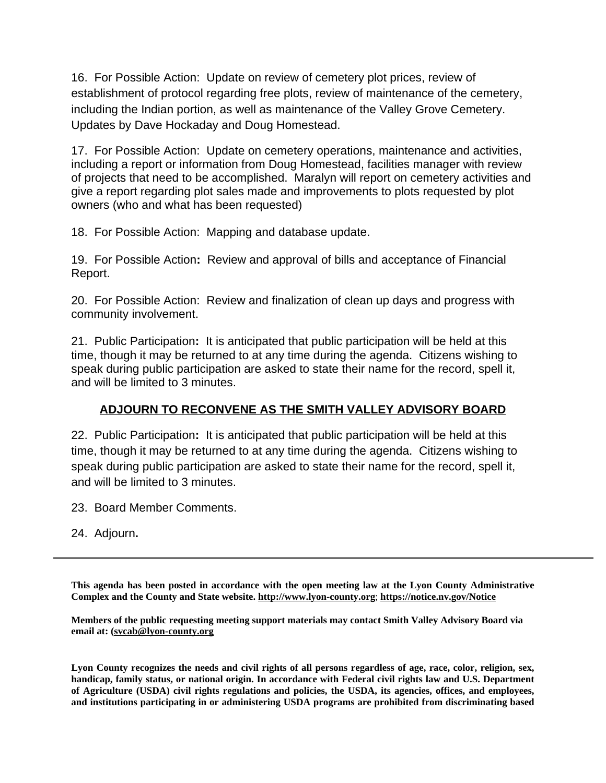16. For Possible Action:Update on review of cemetery plot prices, review of establishment of protocol regarding free plots, review of maintenance of the cemetery, including the Indian portion, as well as maintenance of the Valley Grove Cemetery. Updates by Dave Hockaday and Doug Homestead.

17. For Possible Action: Update on cemetery operations, maintenance and activities, including a report or information from Doug Homestead, facilities manager with review of projects that need to be accomplished. Maralyn will report on cemetery activities and give a report regarding plot sales made and improvements to plots requested by plot owners (who and what has been requested)

18. For Possible Action: Mapping and database update.

19. For Possible Action**:** Review and approval of bills and acceptance of Financial Report.

20. For Possible Action: Review and finalization of clean up days and progress with community involvement.

21. Public Participation**:** It is anticipated that public participation will be held at this time, though it may be returned to at any time during the agenda. Citizens wishing to speak during public participation are asked to state their name for the record, spell it, and will be limited to 3 minutes.

## **ADJOURN TO RECONVENE AS THE SMITH VALLEY ADVISORY BOARD**

22. Public Participation**:** It is anticipated that public participation will be held at this time, though it may be returned to at any time during the agenda. Citizens wishing to speak during public participation are asked to state their name for the record, spell it, and will be limited to 3 minutes.

23. Board Member Comments.

24. Adjourn**.**

**This agenda has been posted in accordance with the open meeting law at the Lyon County Administrative Complex and the County and State website. [http://www.lyon-county.org](http://www.lyon-county.org/)**; **<https://notice.nv.gov/Notice>**

**Members of the public requesting meeting support materials may contact Smith Valley Advisory Board via email at: [\(svcab@lyon-county.org](mailto:svcab@lyon-county.org)**

Lyon County recognizes the needs and civil rights of all persons regardless of age, race, color, religion, sex, **handicap, family status, or national origin. In accordance with Federal civil rights law and U.S. Department of Agriculture (USDA) civil rights regulations and policies, the USDA, its agencies, offices, and employees, and institutions participating in or administering USDA programs are prohibited from discriminating based**